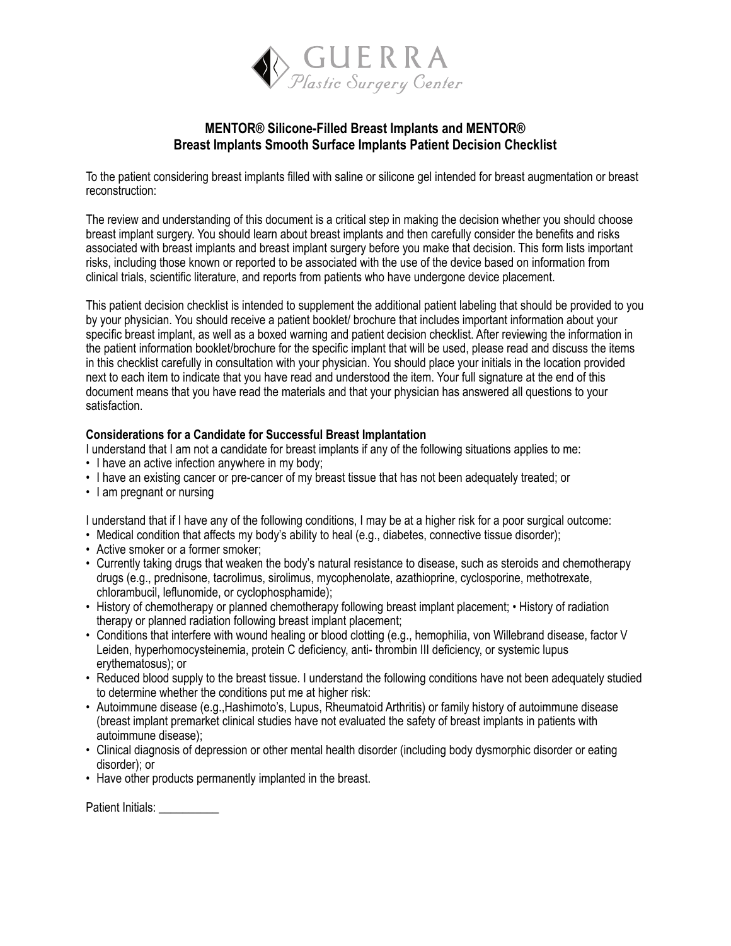

# **MENTOR® Silicone-Filled Breast Implants and MENTOR® Breast Implants Smooth Surface Implants Patient Decision Checklist**

To the patient considering breast implants filled with saline or silicone gel intended for breast augmentation or breast reconstruction:

The review and understanding of this document is a critical step in making the decision whether you should choose breast implant surgery. You should learn about breast implants and then carefully consider the benefits and risks associated with breast implants and breast implant surgery before you make that decision. This form lists important risks, including those known or reported to be associated with the use of the device based on information from clinical trials, scientific literature, and reports from patients who have undergone device placement.

This patient decision checklist is intended to supplement the additional patient labeling that should be provided to you by your physician. You should receive a patient booklet/ brochure that includes important information about your specific breast implant, as well as a boxed warning and patient decision checklist. After reviewing the information in the patient information booklet/brochure for the specific implant that will be used, please read and discuss the items in this checklist carefully in consultation with your physician. You should place your initials in the location provided next to each item to indicate that you have read and understood the item. Your full signature at the end of this document means that you have read the materials and that your physician has answered all questions to your satisfaction.

### **Considerations for a Candidate for Successful Breast Implantation**

I understand that I am not a candidate for breast implants if any of the following situations applies to me:

- I have an active infection anywhere in my body:
- I have an existing cancer or pre-cancer of my breast tissue that has not been adequately treated; or
- I am pregnant or nursing

I understand that if I have any of the following conditions, I may be at a higher risk for a poor surgical outcome:

- Medical condition that affects my body's ability to heal (e.g., diabetes, connective tissue disorder);
- Active smoker or a former smoker;
- Currently taking drugs that weaken the body's natural resistance to disease, such as steroids and chemotherapy drugs (e.g., prednisone, tacrolimus, sirolimus, mycophenolate, azathioprine, cyclosporine, methotrexate, chlorambucil, leflunomide, or cyclophosphamide);
- History of chemotherapy or planned chemotherapy following breast implant placement; History of radiation therapy or planned radiation following breast implant placement;
- Conditions that interfere with wound healing or blood clotting (e.g., hemophilia, von Willebrand disease, factor V Leiden, hyperhomocysteinemia, protein C deficiency, anti- thrombin III deficiency, or systemic lupus erythematosus); or
- Reduced blood supply to the breast tissue. I understand the following conditions have not been adequately studied to determine whether the conditions put me at higher risk:
- Autoimmune disease (e.g.,Hashimoto's, Lupus, Rheumatoid Arthritis) or family history of autoimmune disease (breast implant premarket clinical studies have not evaluated the safety of breast implants in patients with autoimmune disease);
- Clinical diagnosis of depression or other mental health disorder (including body dysmorphic disorder or eating disorder); or
- Have other products permanently implanted in the breast.

Patient Initials: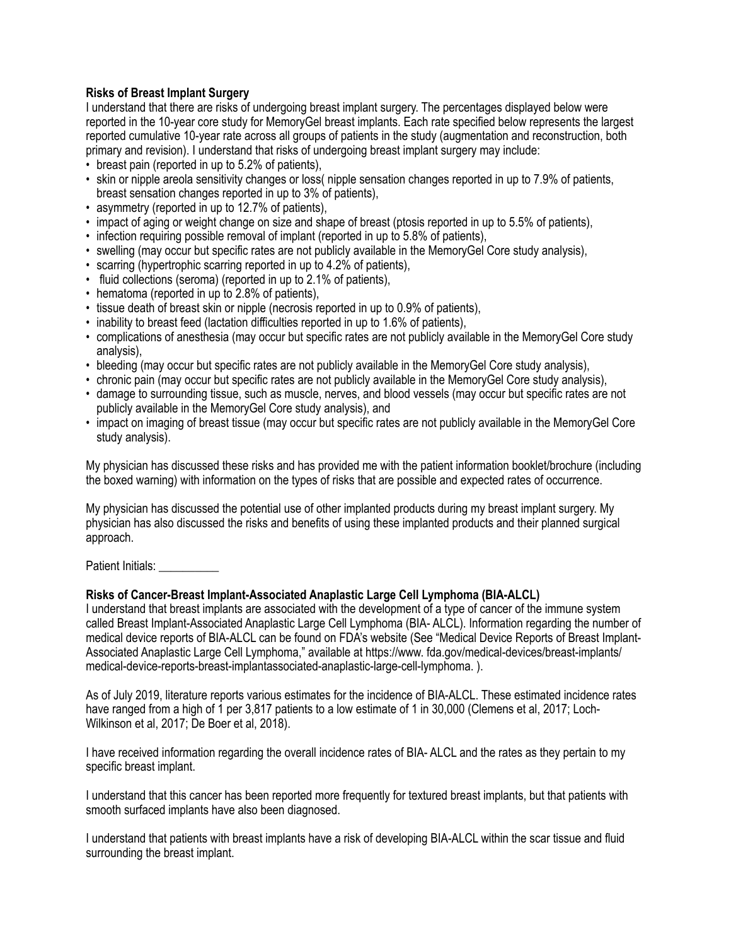## **Risks of Breast Implant Surgery**

I understand that there are risks of undergoing breast implant surgery. The percentages displayed below were reported in the 10-year core study for MemoryGel breast implants. Each rate specified below represents the largest reported cumulative 10-year rate across all groups of patients in the study (augmentation and reconstruction, both primary and revision). I understand that risks of undergoing breast implant surgery may include:

- breast pain (reported in up to 5.2% of patients),
- skin or nipple areola sensitivity changes or loss( nipple sensation changes reported in up to 7.9% of patients, breast sensation changes reported in up to 3% of patients),
- asymmetry (reported in up to 12.7% of patients),
- impact of aging or weight change on size and shape of breast (ptosis reported in up to 5.5% of patients),
- infection requiring possible removal of implant (reported in up to 5.8% of patients),
- swelling (may occur but specific rates are not publicly available in the MemoryGel Core study analysis),
- scarring (hypertrophic scarring reported in up to 4.2% of patients),
- fluid collections (seroma) (reported in up to 2.1% of patients),
- hematoma (reported in up to 2.8% of patients),
- tissue death of breast skin or nipple (necrosis reported in up to 0.9% of patients),
- inability to breast feed (lactation difficulties reported in up to 1.6% of patients),
- complications of anesthesia (may occur but specific rates are not publicly available in the MemoryGel Core study analysis),
- bleeding (may occur but specific rates are not publicly available in the MemoryGel Core study analysis),
- chronic pain (may occur but specific rates are not publicly available in the MemoryGel Core study analysis),
- damage to surrounding tissue, such as muscle, nerves, and blood vessels (may occur but specific rates are not publicly available in the MemoryGel Core study analysis), and
- impact on imaging of breast tissue (may occur but specific rates are not publicly available in the MemoryGel Core study analysis).

My physician has discussed these risks and has provided me with the patient information booklet/brochure (including the boxed warning) with information on the types of risks that are possible and expected rates of occurrence.

My physician has discussed the potential use of other implanted products during my breast implant surgery. My physician has also discussed the risks and benefits of using these implanted products and their planned surgical approach.

Patient Initials:

## **Risks of Cancer-Breast Implant-Associated Anaplastic Large Cell Lymphoma (BIA-ALCL)**

I understand that breast implants are associated with the development of a type of cancer of the immune system called Breast Implant-Associated Anaplastic Large Cell Lymphoma (BIA- ALCL). Information regarding the number of medical device reports of BIA-ALCL can be found on FDA's website (See "Medical Device Reports of Breast Implant-Associated Anaplastic Large Cell Lymphoma," available at https://www. fda.gov/medical-devices/breast-implants/ medical-device-reports-breast-implantassociated-anaplastic-large-cell-lymphoma. ).

As of July 2019, literature reports various estimates for the incidence of BIA-ALCL. These estimated incidence rates have ranged from a high of 1 per 3,817 patients to a low estimate of 1 in 30,000 (Clemens et al, 2017; Loch-Wilkinson et al, 2017; De Boer et al, 2018).

I have received information regarding the overall incidence rates of BIA- ALCL and the rates as they pertain to my specific breast implant.

I understand that this cancer has been reported more frequently for textured breast implants, but that patients with smooth surfaced implants have also been diagnosed.

I understand that patients with breast implants have a risk of developing BIA-ALCL within the scar tissue and fluid surrounding the breast implant.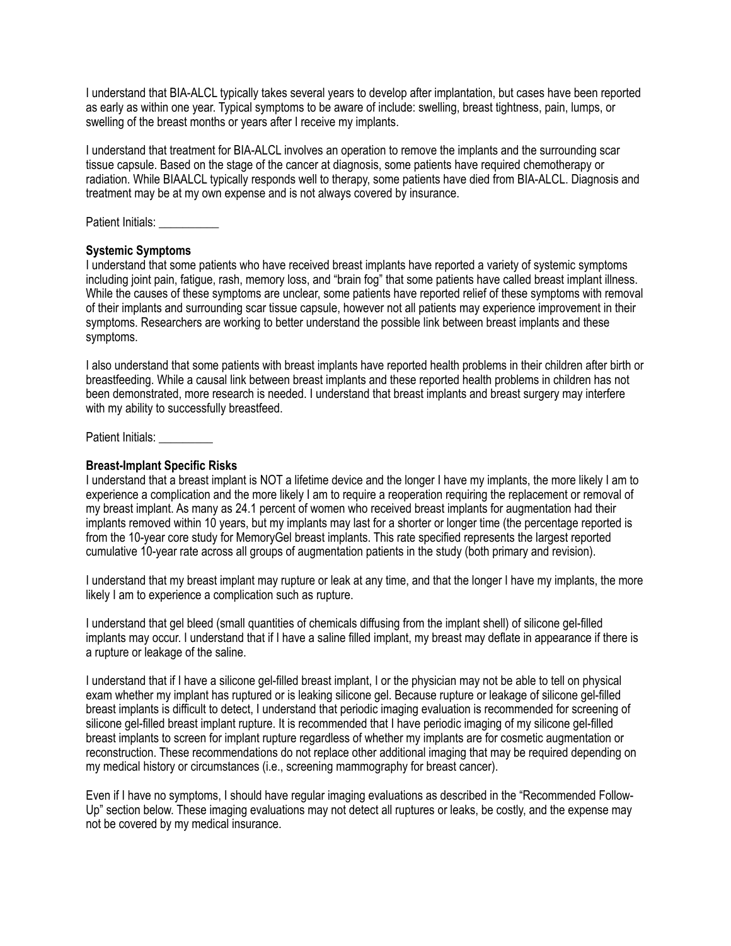I understand that BIA-ALCL typically takes several years to develop after implantation, but cases have been reported as early as within one year. Typical symptoms to be aware of include: swelling, breast tightness, pain, lumps, or swelling of the breast months or years after I receive my implants.

I understand that treatment for BIA-ALCL involves an operation to remove the implants and the surrounding scar tissue capsule. Based on the stage of the cancer at diagnosis, some patients have required chemotherapy or radiation. While BIAALCL typically responds well to therapy, some patients have died from BIA-ALCL. Diagnosis and treatment may be at my own expense and is not always covered by insurance.

Patient Initials:

## **Systemic Symptoms**

I understand that some patients who have received breast implants have reported a variety of systemic symptoms including joint pain, fatigue, rash, memory loss, and "brain fog" that some patients have called breast implant illness. While the causes of these symptoms are unclear, some patients have reported relief of these symptoms with removal of their implants and surrounding scar tissue capsule, however not all patients may experience improvement in their symptoms. Researchers are working to better understand the possible link between breast implants and these symptoms.

I also understand that some patients with breast implants have reported health problems in their children after birth or breastfeeding. While a causal link between breast implants and these reported health problems in children has not been demonstrated, more research is needed. I understand that breast implants and breast surgery may interfere with my ability to successfully breastfeed.

Patient Initials:

## **Breast-Implant Specific Risks**

I understand that a breast implant is NOT a lifetime device and the longer I have my implants, the more likely I am to experience a complication and the more likely I am to require a reoperation requiring the replacement or removal of my breast implant. As many as 24.1 percent of women who received breast implants for augmentation had their implants removed within 10 years, but my implants may last for a shorter or longer time (the percentage reported is from the 10-year core study for MemoryGel breast implants. This rate specified represents the largest reported cumulative 10-year rate across all groups of augmentation patients in the study (both primary and revision).

I understand that my breast implant may rupture or leak at any time, and that the longer I have my implants, the more likely I am to experience a complication such as rupture.

I understand that gel bleed (small quantities of chemicals diffusing from the implant shell) of silicone gel-filled implants may occur. I understand that if I have a saline filled implant, my breast may deflate in appearance if there is a rupture or leakage of the saline.

I understand that if I have a silicone gel-filled breast implant, I or the physician may not be able to tell on physical exam whether my implant has ruptured or is leaking silicone gel. Because rupture or leakage of silicone gel-filled breast implants is difficult to detect, I understand that periodic imaging evaluation is recommended for screening of silicone gel-filled breast implant rupture. It is recommended that I have periodic imaging of my silicone gel-filled breast implants to screen for implant rupture regardless of whether my implants are for cosmetic augmentation or reconstruction. These recommendations do not replace other additional imaging that may be required depending on my medical history or circumstances (i.e., screening mammography for breast cancer).

Even if I have no symptoms, I should have regular imaging evaluations as described in the "Recommended Follow-Up" section below. These imaging evaluations may not detect all ruptures or leaks, be costly, and the expense may not be covered by my medical insurance.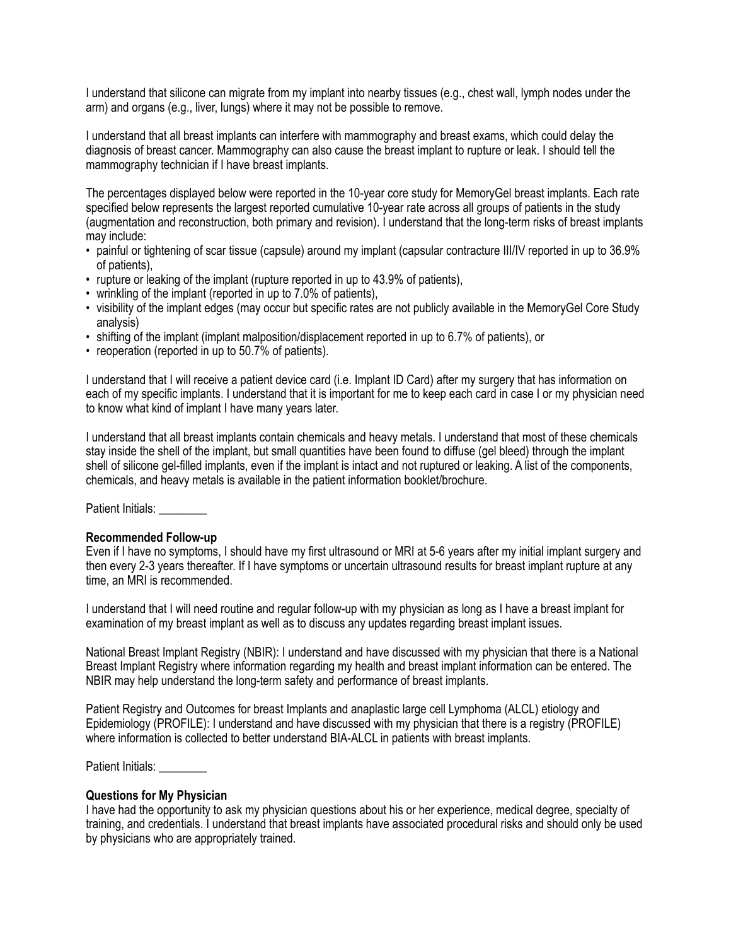I understand that silicone can migrate from my implant into nearby tissues (e.g., chest wall, lymph nodes under the arm) and organs (e.g., liver, lungs) where it may not be possible to remove.

I understand that all breast implants can interfere with mammography and breast exams, which could delay the diagnosis of breast cancer. Mammography can also cause the breast implant to rupture or leak. I should tell the mammography technician if I have breast implants.

The percentages displayed below were reported in the 10-year core study for MemoryGel breast implants. Each rate specified below represents the largest reported cumulative 10-year rate across all groups of patients in the study (augmentation and reconstruction, both primary and revision). I understand that the long-term risks of breast implants may include:

- painful or tightening of scar tissue (capsule) around my implant (capsular contracture III/IV reported in up to 36.9% of patients),
- rupture or leaking of the implant (rupture reported in up to 43.9% of patients),
- wrinkling of the implant (reported in up to 7.0% of patients),
- visibility of the implant edges (may occur but specific rates are not publicly available in the MemoryGel Core Study analysis)
- shifting of the implant (implant malposition/displacement reported in up to 6.7% of patients), or
- reoperation (reported in up to 50.7% of patients).

I understand that I will receive a patient device card (i.e. Implant ID Card) after my surgery that has information on each of my specific implants. I understand that it is important for me to keep each card in case I or my physician need to know what kind of implant I have many years later.

I understand that all breast implants contain chemicals and heavy metals. I understand that most of these chemicals stay inside the shell of the implant, but small quantities have been found to diffuse (gel bleed) through the implant shell of silicone gel-filled implants, even if the implant is intact and not ruptured or leaking. A list of the components, chemicals, and heavy metals is available in the patient information booklet/brochure.

Patient Initials:

#### **Recommended Follow-up**

Even if I have no symptoms, I should have my first ultrasound or MRI at 5-6 years after my initial implant surgery and then every 2-3 years thereafter. If I have symptoms or uncertain ultrasound results for breast implant rupture at any time, an MRI is recommended.

I understand that I will need routine and regular follow-up with my physician as long as I have a breast implant for examination of my breast implant as well as to discuss any updates regarding breast implant issues.

National Breast Implant Registry (NBIR): I understand and have discussed with my physician that there is a National Breast Implant Registry where information regarding my health and breast implant information can be entered. The NBIR may help understand the long-term safety and performance of breast implants.

Patient Registry and Outcomes for breast Implants and anaplastic large cell Lymphoma (ALCL) etiology and Epidemiology (PROFILE): I understand and have discussed with my physician that there is a registry (PROFILE) where information is collected to better understand BIA-ALCL in patients with breast implants.

Patient Initials:

#### **Questions for My Physician**

I have had the opportunity to ask my physician questions about his or her experience, medical degree, specialty of training, and credentials. I understand that breast implants have associated procedural risks and should only be used by physicians who are appropriately trained.